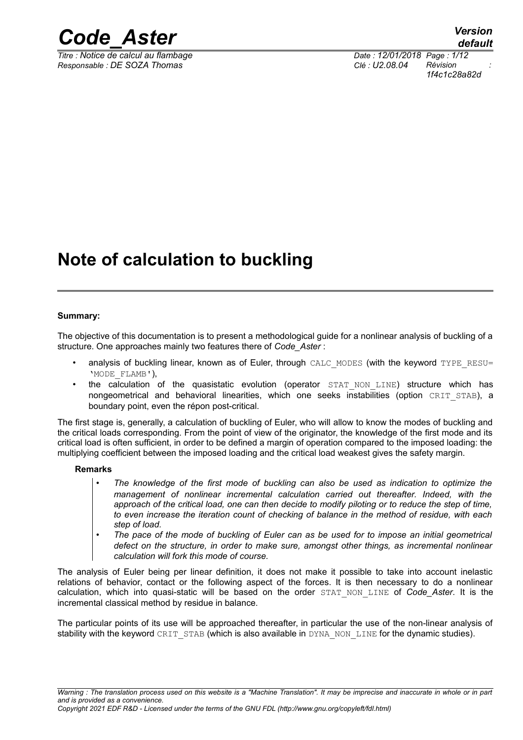

*Responsable : DE SOZA Thomas Clé : U2.08.04 Révision :*

*Titre : Notice de calcul au flambage Date : 12/01/2018 Page : 1/12 1f4c1c28a82d*

## **Note of calculation to buckling**

### **Summary:**

The objective of this documentation is to present a methodological guide for a nonlinear analysis of buckling of a structure. One approaches mainly two features there of *Code\_Aster* :

- analysis of buckling linear, known as of Euler, through CALC\_MODES (with the keyword TYPE\_RESU= 'MODE\_FLAMB'),
- the calculation of the quasistatic evolution (operator STAT\_NON\_LINE) structure which has nongeometrical and behavioral linearities, which one seeks instabilities (option CRIT STAB), a boundary point, even the répon post-critical.

The first stage is, generally, a calculation of buckling of Euler, who will allow to know the modes of buckling and the critical loads corresponding. From the point of view of the originator, the knowledge of the first mode and its critical load is often sufficient, in order to be defined a margin of operation compared to the imposed loading: the multiplying coefficient between the imposed loading and the critical load weakest gives the safety margin.

#### **Remarks**

- *The knowledge of the first mode of buckling can also be used as indication to optimize the management of nonlinear incremental calculation carried out thereafter. Indeed, with the approach of the critical load, one can then decide to modify piloting or to reduce the step of time, to even increase the iteration count of checking of balance in the method of residue, with each step of load.*
- *The pace of the mode of buckling of Euler can as be used for to impose an initial geometrical defect on the structure, in order to make sure, amongst other things, as incremental nonlinear calculation will fork this mode of course.*

The analysis of Euler being per linear definition, it does not make it possible to take into account inelastic relations of behavior, contact or the following aspect of the forces. It is then necessary to do a nonlinear calculation, which into quasi-static will be based on the order STAT\_NON\_LINE of *Code\_Aster*. It is the incremental classical method by residue in balance.

The particular points of its use will be approached thereafter, in particular the use of the non-linear analysis of stability with the keyword CRIT\_STAB (which is also available in DYNA\_NON\_LINE for the dynamic studies).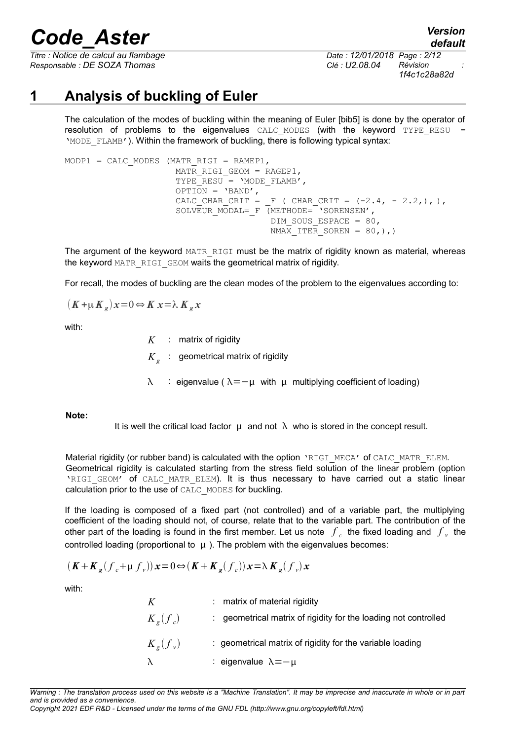*Titre : Notice de calcul au flambage Date : 12/01/2018 Page : 2/12 Responsable : DE SOZA Thomas Clé : U2.08.04 Révision :*

*default 1f4c1c28a82d*

## **1 Analysis of buckling of Euler**

The calculation of the modes of buckling within the meaning of Euler [bib5] is done by the operator of resolution of problems to the eigenvalues CALC MODES (with the keyword TYPE RESU = 'MODE\_FLAMB'). Within the framework of buckling, there is following typical syntax:

```
MODP1 = CALC MODES (MATR RIGI = RAMEP1,MATR RIGI GEOM = RAGEP1,
                     TYPE RESU = 'MODE FLAMB',
                     OPTION = 'BAND',
                     CALC CHAR CRIT = F ( CHAR CRIT = (-2.4, -2.2,), ),
                     SOLVEUR MODAL= F (METHODE= 'SORENSEN',
                                       DIM SOUS ESPACE = 80,
                                       NMAX ITER SOREN = 80,),)
```
The argument of the keyword MATR\_RIGI must be the matrix of rigidity known as material, whereas the keyword MATR\_RIGI\_GEOM waits the geometrical matrix of rigidity.

For recall, the modes of buckling are the clean modes of the problem to the eigenvalues according to:

 $(K + \mu K_g)x = 0 \Leftrightarrow K x = \lambda K_g x$ 

with:

*K* : matrix of rigidity  $K_{\rm g}$   $\;$  :  $\;$  geometrical matrix of rigidity  $\lambda$  : eigenvalue ( $\lambda = -\mu$  with  $\mu$  multiplying coefficient of loading)

#### **Note:**

It is well the critical load factor  $\mu$  and not  $\lambda$  who is stored in the concept result.

Material rigidity (or rubber band) is calculated with the option 'RIGI\_MECA' of CALC\_MATR\_ELEM. Geometrical rigidity is calculated starting from the stress field solution of the linear problem (option 'RIGI GEOM' of CALC MATR ELEM). It is thus necessary to have carried out a static linear calculation prior to the use of CALC\_MODES for buckling.

If the loading is composed of a fixed part (not controlled) and of a variable part, the multiplying coefficient of the loading should not, of course, relate that to the variable part. The contribution of the other part of the loading is found in the first member. Let us note  $\int_{c}$  the fixed loading and  $\int_{v}$  the controlled loading (proportional to  $\mu$ ). The problem with the eigenvalues becomes:

$$
(\boldsymbol{K} + \boldsymbol{K}_{g}(\boldsymbol{f}_{c} + \mu \boldsymbol{f}_{v}))\boldsymbol{x} = 0 \Leftrightarrow (\boldsymbol{K} + \boldsymbol{K}_{g}(\boldsymbol{f}_{c}))\boldsymbol{x} = \lambda \boldsymbol{K}_{g}(\boldsymbol{f}_{v})\boldsymbol{x}
$$

with:

| K                      | matrix of material rigidity                                   |
|------------------------|---------------------------------------------------------------|
| $K_{\varrho}(f_{c})$   | geometrical matrix of rigidity for the loading not controlled |
| $K_{\varrho}(f_{\nu})$ | : geometrical matrix of rigidity for the variable loading     |
| λ                      | : eigenvalue $\lambda = -\mu$                                 |

*Warning : The translation process used on this website is a "Machine Translation". It may be imprecise and inaccurate in whole or in part and is provided as a convenience.*

*Copyright 2021 EDF R&D - Licensed under the terms of the GNU FDL (http://www.gnu.org/copyleft/fdl.html)*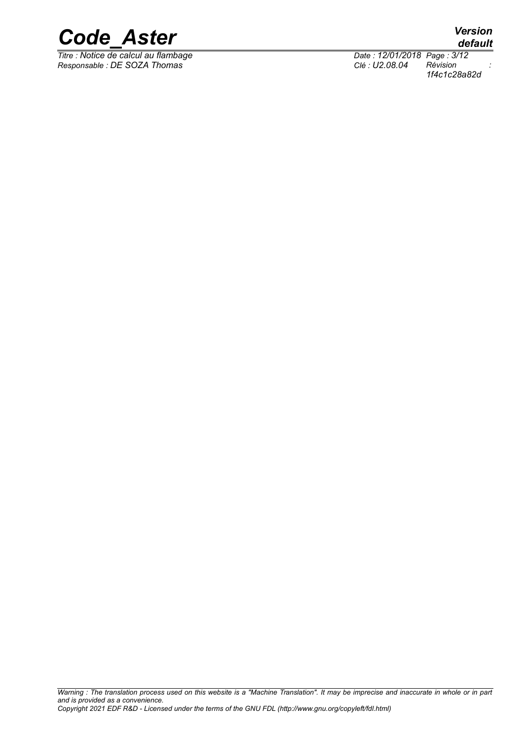

*Titre : Notice de calcul au flambage Date : 12/01/2018 Page : 3/12*<br> *Responsable : DE SOZA Thomas De Clé : U2.08.04 Révision*  $Responsible : DE$  SOZA Thomas<sup>3</sup>

*default*

*1f4c1c28a82d*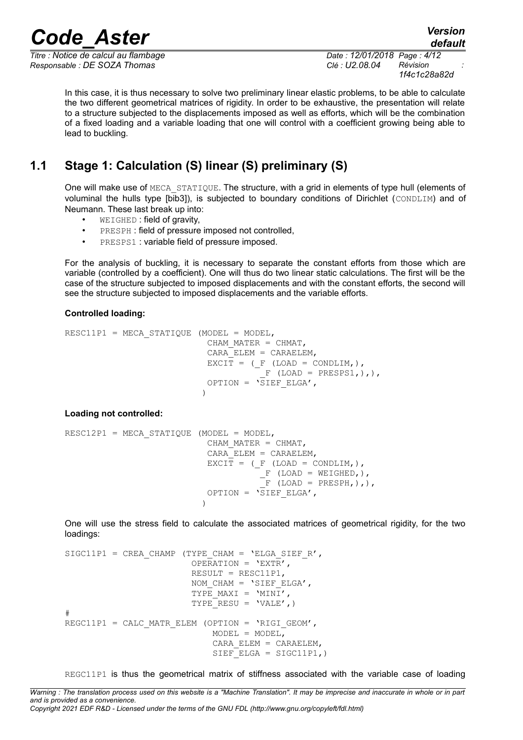*Titre : Notice de calcul au flambage Date : 12/01/2018 Page : 4/12 Responsable : DE SOZA Thomas Clé : U2.08.04 Révision :*

*default*

*1f4c1c28a82d*

In this case, it is thus necessary to solve two preliminary linear elastic problems, to be able to calculate the two different geometrical matrices of rigidity. In order to be exhaustive, the presentation will relate to a structure subjected to the displacements imposed as well as efforts, which will be the combination of a fixed loading and a variable loading that one will control with a coefficient growing being able to lead to buckling.

## **1.1 Stage 1: Calculation (S) linear (S) preliminary (S)**

One will make use of MECA STATIQUE. The structure, with a grid in elements of type hull (elements of voluminal the hulls type [bib3]), is subjected to boundary conditions of Dirichlet (CONDLIM) and of Neumann. These last break up into:

- WEIGHED: field of gravity,
- PRESPH : field of pressure imposed not controlled,
- PRESPS1 : variable field of pressure imposed.

For the analysis of buckling, it is necessary to separate the constant efforts from those which are variable (controlled by a coefficient). One will thus do two linear static calculations. The first will be the case of the structure subjected to imposed displacements and with the constant efforts, the second will see the structure subjected to imposed displacements and the variable efforts.

### **Controlled loading:**

```
RESC11P1 = MECA_STATIQUE (MODEL = MODEL,
                                   CHAM_MATER = CHMAT,
                                  CARA ELEM = CARAELEM,
                                  EXCIT = (F (LOAD = CONDLIM,),F (LOAD = PRESPS1,),),
                                  OPTION = \sqrt{\text{S}}IEF ELGA',
) and the contract of \mathcal{L} ( \mathcal{L} ) and \mathcal{L}
```
#### **Loading not controlled:**

```
RESC12P1 = MECA STATIQUE (MODEL = MODEL,
                                    CHAM MATER = CHMAT,
                                     CARA_ELEM = CARAELEM,
                                    EXCIT = ( F (LOAD = CONDLIM,),
                                                 -F (LOAD = WEIGHED, ),
                                                   \overline{F} (LOAD = PRESPH, ), ),
                                    OPTION = \sqrt{\text{SIEF}} ELGA',
) and the contract of \mathcal{L} ( \mathcal{L} ) and \mathcal{L}
```
One will use the stress field to calculate the associated matrices of geometrical rigidity, for the two loadings:

```
SIGC11P1 = CREA CHAMP (TYPE CHAM = 'ELGA SIEF R',
                          OPERATION = 'EXTR',
                           RESULT = RESC11P1,
                          NOM CHAM = \text{VSEF} ELGA',
                          TYPE MAXI = \text{MMI},
                          TYPE<sup>-</sup>RESU = 'VALE', )#
REGC11P1 = CALC MATR ELEM (OPTION = 'RIGI GEOM',
                               MODEL = MODEL,CARA ELEM = CARAELEM,
                               SIEF ELGA = SIGC11P1, )
```
REGC11P1 is thus the geometrical matrix of stiffness associated with the variable case of loading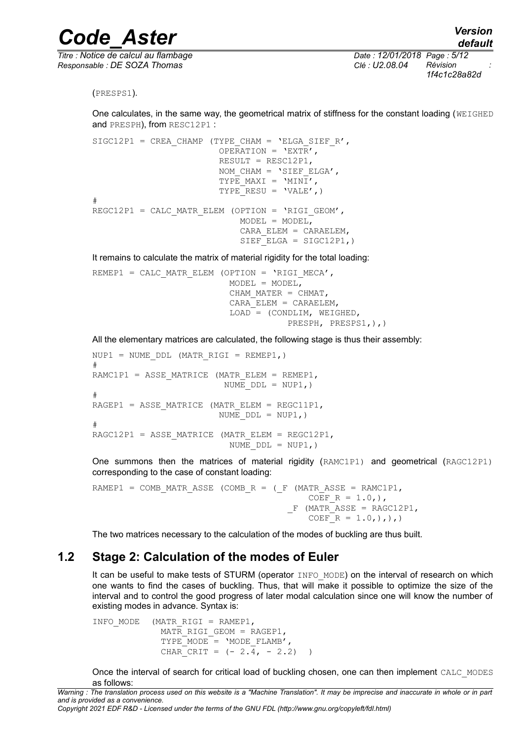*Titre : Notice de calcul au flambage Date : 12/01/2018 Page : 5/12 Responsable : DE SOZA Thomas Clé : U2.08.04 Révision :*

*Code\_Aster Version default 1f4c1c28a82d*

```
(PRESPS1).
```
One calculates, in the same way, the geometrical matrix of stiffness for the constant loading (WEIGHED and PRESPH), from RESC12P1 :

```
SIGC12P1 = CREA CHAMP (TYPE CHAM = 'ELGA SIEF R',
                          OPERATION = 'EXTR'.RESULT = RESC12P1.
                          NOM CHAM = 'SIEF ELGA',
                          TYPE MAXI = \text{MMI},
                          TYPE<sup>-</sup>RESU = 'VALE', )#
REGC12P1 = CALC MATR ELEM (OPTION = 'RIGI GEOM',
                              MODEL = MODEL,
                              CARA ELEM = CARAELEM,
                              SIEF ELGA = SIGC12P1,)
```
It remains to calculate the matrix of material rigidity for the total loading:

```
REMEP1 = CALC MATR ELEM (OPTION = 'RIGI MECA',
                           MODEL = MODEL, CHAM_MATER = CHMAT,
                            CARA_ELEM = CARAELEM,
                           LOAD = (CONDLIN, WEIGHED,PRESPH, PRESPS1, ), )
```
All the elementary matrices are calculated, the following stage is thus their assembly:

```
NUP1 = NUME DDL (MATR RIGI = REMEP1, )#
RAMC1P1 = ASSE_MATRICE (MATR_ELEM = REMEP1,
                          NUME DDL = NUP1,)
#
RAGEP1 = ASSE MATRICE (MATR ELEM = REGC11P1,
                        NUME DDL = NUP1,)
#
RAGC12P1 = ASSE_MATRICE (MATR_ELEM = REGC12P1,
                           NUME DDL = NUP1,)
```
One summons then the matrices of material rigidity (RAMC1P1) and geometrical (RAGC12P1) corresponding to the case of constant loading:

```
RAMEP1 = COMB MATR ASSE (COMB R = (F (MATR ASSE = RAMC1P1,
                                        COEF R = 1.0,),
                                     F (MATR ASSE = RAGC12P1.
                                         CDEF R = 1.0,),),)
```
The two matrices necessary to the calculation of the modes of buckling are thus built.

### **1.2 Stage 2: Calculation of the modes of Euler**

It can be useful to make tests of STURM (operator INFO\_MODE) on the interval of research on which one wants to find the cases of buckling. Thus, that will make it possible to optimize the size of the interval and to control the good progress of later modal calculation since one will know the number of existing modes in advance. Syntax is:

```
INFO_MODE (MATR_RIGI = RAMEP1,
              MATR RIGI GEOM = RAGEP1,
              TYPE MODE = 'MODE FLAMB',
              CHAR CRIT = (-2.\overline{4}, -2.2)
```
Once the interval of search for critical load of buckling chosen, one can then implement CALC\_MODES as follows: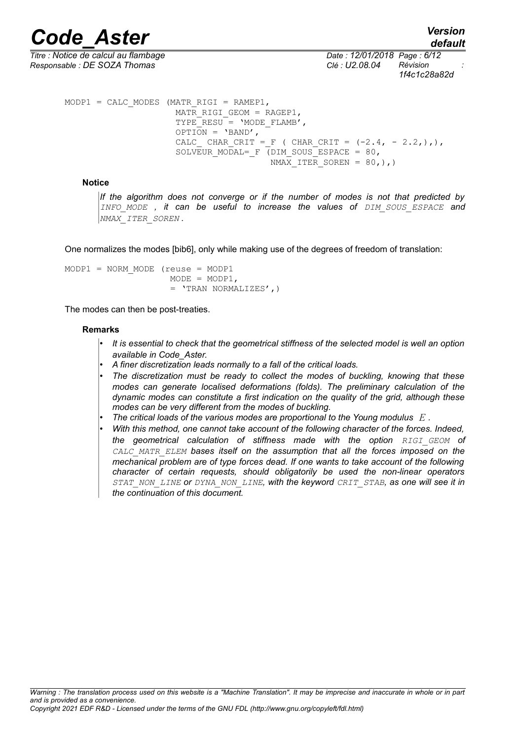*Titre : Notice de calcul au flambage Date : 12/01/2018 Page : 6/12 Responsable : DE SOZA Thomas Clé : U2.08.04 Révision :*

*default 1f4c1c28a82d*

```
MODP1 = CALC MODES (MATR RIGI = RAMEP1,MATR RIGI GEOM = RAGEP1,
                     TYPERESU = 'MODE FLAMB',
                     OPTION = 'BAND',CALC CHAR CRIT = F ( CHAR CRIT = (-2.4, -2.2,),),SOLVEUR MODAL= F (DIM SOUS ESPACE = 80,
                                       NMAX ITER SOREN = 80,),)
```
### **Notice**

*If the algorithm does not converge or if the number of modes is not that predicted by INFO\_MODE , it can be useful to increase the values of DIM\_SOUS\_ESPACE and NMAX\_ITER\_SOREN .*

One normalizes the modes [bib6], only while making use of the degrees of freedom of translation:

 $MODP1 = NORMALMODE (reuse = MODP1$  $MODE = MODP1,$ = 'TRAN NORMALIZES',)

The modes can then be post-treaties.

#### **Remarks**

- *It is essential to check that the geometrical stiffness of the selected model is well an option available in Code\_Aster.*
- *A finer discretization leads normally to a fall of the critical loads.*
- *The discretization must be ready to collect the modes of buckling, knowing that these modes can generate localised deformations (folds). The preliminary calculation of the dynamic modes can constitute a first indication on the quality of the grid, although these modes can be very different from the modes of buckling.*
- *The critical loads of the various modes are proportional to the Young modulus E .*
- *With this method, one cannot take account of the following character of the forces. Indeed, the geometrical calculation of stiffness made with the option RIGI\_GEOM of CALC\_MATR\_ELEM bases itself on the assumption that all the forces imposed on the mechanical problem are of type forces dead. If one wants to take account of the following character of certain requests, should obligatorily be used the non-linear operators STAT\_NON\_LINE or DYNA\_NON\_LINE, with the keyword CRIT\_STAB, as one will see it in the continuation of this document.*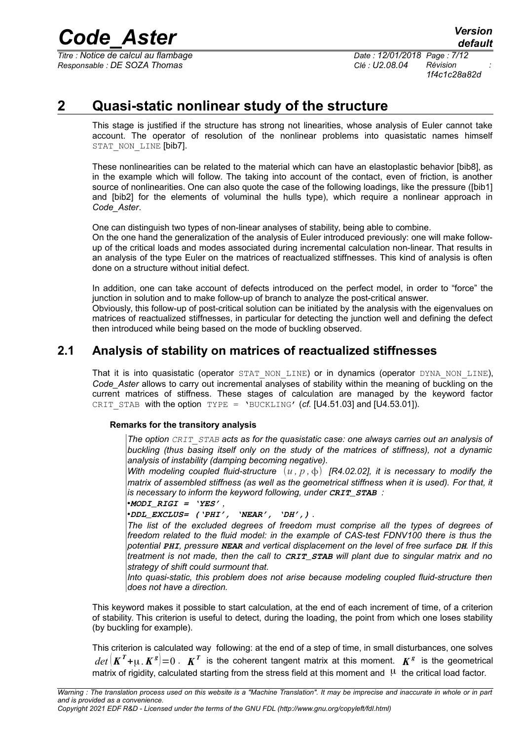*Titre : Notice de calcul au flambage Date : 12/01/2018 Page : 7/12 Responsable : DE SOZA Thomas Clé : U2.08.04 Révision :*

*1f4c1c28a82d*

## **2 Quasi-static nonlinear study of the structure**

This stage is justified if the structure has strong not linearities, whose analysis of Euler cannot take account. The operator of resolution of the nonlinear problems into quasistatic names himself STAT NON LINE [bib7].

These nonlinearities can be related to the material which can have an elastoplastic behavior [bib8], as in the example which will follow. The taking into account of the contact, even of friction, is another source of nonlinearities. One can also quote the case of the following loadings, like the pressure ([bib1] and [bib2] for the elements of voluminal the hulls type), which require a nonlinear approach in *Code\_Aster*.

One can distinguish two types of non-linear analyses of stability, being able to combine.

On the one hand the generalization of the analysis of Euler introduced previously: one will make followup of the critical loads and modes associated during incremental calculation non-linear. That results in an analysis of the type Euler on the matrices of reactualized stiffnesses. This kind of analysis is often done on a structure without initial defect.

In addition, one can take account of defects introduced on the perfect model, in order to "force" the junction in solution and to make follow-up of branch to analyze the post-critical answer. Obviously, this follow-up of post-critical solution can be initiated by the analysis with the eigenvalues on

matrices of reactualized stiffnesses, in particular for detecting the junction well and defining the defect then introduced while being based on the mode of buckling observed.

## **2.1 Analysis of stability on matrices of reactualized stiffnesses**

That it is into quasistatic (operator STAT NON LINE) or in dynamics (operator DYNA NON LINE), *Code\_Aster* allows to carry out incremental analyses of stability within the meaning of buckling on the current matrices of stiffness. These stages of calculation are managed by the keyword factor CRIT STAB with the option TYPE = 'BUCKLING' ( $cf.$  [U4.51.03] and [U4.53.01]).

### **Remarks for the transitory analysis**

*The option CRIT\_STAB acts as for the quasistatic case: one always carries out an analysis of buckling (thus basing itself only on the study of the matrices of stiffness), not a dynamic analysis of instability (damping becoming negative).*

*With modeling coupled fluid-structure*  $(u, p, \phi)$  [R4.02.02], it is necessary to modify the *matrix of assembled stiffness (as well as the geometrical stiffness when it is used). For that, it is necessary to inform the keyword following, under* **CRIT\_STAB** *:*

•**MODI\_RIGI = 'YES'** *,*

•**DDL\_EXCLUS= ('PHI', 'NEAR', 'DH',)** *.*

*The list of the excluded degrees of freedom must comprise all the types of degrees of freedom related to the fluid model: in the example of CAS-test FDNV100 there is thus the potential* **PHI***, pressure* **NEAR** *and vertical displacement on the level of free surface* **DH***. If this treatment is not made, then the call to* **CRIT\_STAB** *will plant due to singular matrix and no strategy of shift could surmount that.*

*Into quasi-static, this problem does not arise because modeling coupled fluid-structure then does not have a direction.*

This keyword makes it possible to start calculation, at the end of each increment of time, of a criterion of stability. This criterion is useful to detect, during the loading, the point from which one loses stability (by buckling for example).

This criterion is calculated way following: at the end of a step of time, in small disturbances, one solves  $det\big(\pmb{K}^{\pmb{T}}+\mu$  .  $\pmb{K}^{\pmb{g}}\bigl)=0$  .  $\pmb{K}^{\pmb{T}}$  is the coherent tangent matrix at this moment.  $\pmb{K}^{\pmb{g}}$  is the geometrical matrix of rigidity, calculated starting from the stress field at this moment and  $\mu$  the critical load factor.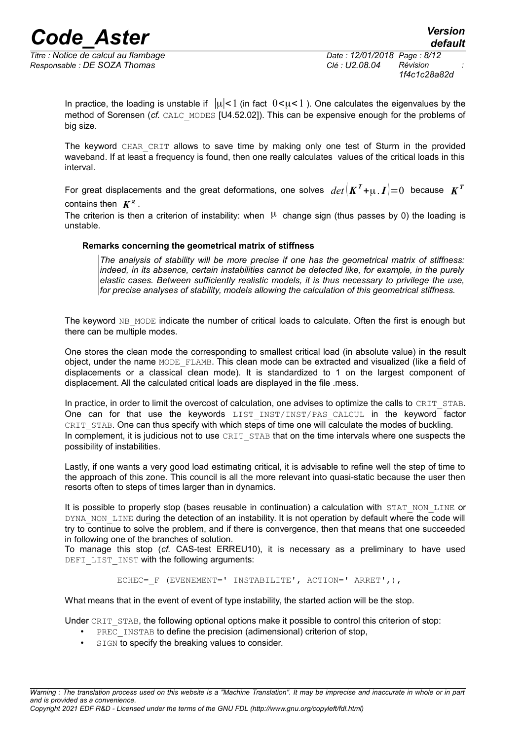*Titre : Notice de calcul au flambage Date : 12/01/2018 Page : 8/12 Responsable : DE SOZA Thomas Clé : U2.08.04 Révision :*

*1f4c1c28a82d*

In practice, the loading is unstable if  $|u| < 1$  (in fact  $0 < u < 1$ ). One calculates the eigenvalues by the method of Sorensen (*cf.* CALC\_MODES [U4.52.02]). This can be expensive enough for the problems of big size.

The keyword CHAR CRIT allows to save time by making only one test of Sturm in the provided waveband. If at least a frequency is found, then one really calculates values of the critical loads in this interval.

For great displacements and the great deformations, one solves  $\det (\bm{K}^T + \bm{\mu}$ .  $\bm{I})$   $=$  0 because  $\bm{K}^T$ contains then  $K^g$ .

The criterion is then a criterion of instability: when  $\mu$  change sign (thus passes by 0) the loading is unstable.

### **Remarks concerning the geometrical matrix of stiffness**

*The analysis of stability will be more precise if one has the geometrical matrix of stiffness: indeed, in its absence, certain instabilities cannot be detected like, for example, in the purely elastic cases. Between sufficiently realistic models, it is thus necessary to privilege the use, for precise analyses of stability, models allowing the calculation of this geometrical stiffness.* 

The keyword  $NB$  MODE indicate the number of critical loads to calculate. Often the first is enough but there can be multiple modes.

One stores the clean mode the corresponding to smallest critical load (in absolute value) in the result object, under the name MODE\_FLAMB. This clean mode can be extracted and visualized (like a field of displacements or a classical clean mode). It is standardized to 1 on the largest component of displacement. All the calculated critical loads are displayed in the file .mess.

In practice, in order to limit the overcost of calculation, one advises to optimize the calls to CRIT\_STAB. One can for that use the keywords LIST INST/INST/PAS CALCUL in the keyword factor CRIT STAB. One can thus specify with which steps of time one will calculate the modes of buckling. In complement, it is judicious not to use CRIT\_STAB that on the time intervals where one suspects the possibility of instabilities.

Lastly, if one wants a very good load estimating critical, it is advisable to refine well the step of time to the approach of this zone. This council is all the more relevant into quasi-static because the user then resorts often to steps of times larger than in dynamics.

It is possible to properly stop (bases reusable in continuation) a calculation with STAT\_NON\_LINE or DYNA\_NON\_LINE during the detection of an instability. It is not operation by default where the code will try to continue to solve the problem, and if there is convergence, then that means that one succeeded in following one of the branches of solution.

To manage this stop (*cf.* CAS-test ERREU10), it is necessary as a preliminary to have used DEFI LIST INST with the following arguments:

ECHEC= F (EVENEMENT=' INSTABILITE', ACTION=' ARRET',),

What means that in the event of event of type instability, the started action will be the stop.

Under CRIT\_STAB, the following optional options make it possible to control this criterion of stop:

- **PREC** INSTAB to define the precision (adimensional) criterion of stop.
	- SIGN to specify the breaking values to consider.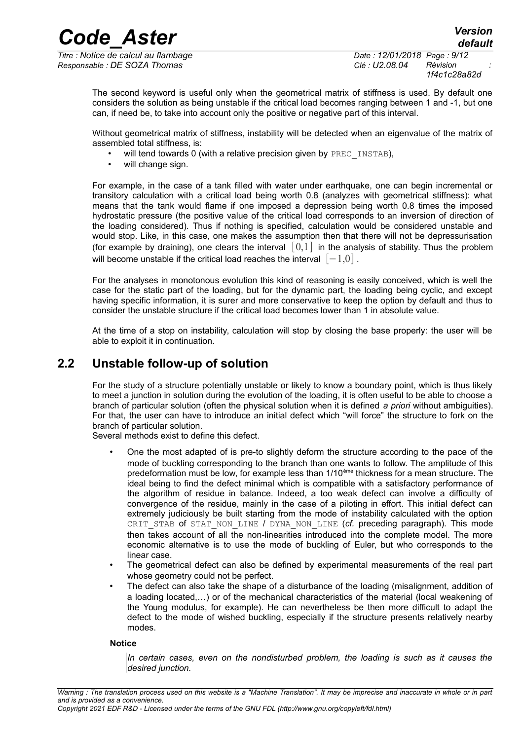*Responsable : DE SOZA Thomas Clé : U2.08.04 Révision :*

*Titre : Notice de calcul au flambage Date : 12/01/2018 Page : 9/12 1f4c1c28a82d*

The second keyword is useful only when the geometrical matrix of stiffness is used. By default one considers the solution as being unstable if the critical load becomes ranging between 1 and -1, but one can, if need be, to take into account only the positive or negative part of this interval.

Without geometrical matrix of stiffness, instability will be detected when an eigenvalue of the matrix of assembled total stiffness, is:

- will tend towards 0 (with a relative precision given by PREC\_INSTAB),
- will change sign.

For example, in the case of a tank filled with water under earthquake, one can begin incremental or transitory calculation with a critical load being worth 0.8 (analyzes with geometrical stiffness): what means that the tank would flame if one imposed a depression being worth 0.8 times the imposed hydrostatic pressure (the positive value of the critical load corresponds to an inversion of direction of the loading considered). Thus if nothing is specified, calculation would be considered unstable and would stop. Like, in this case, one makes the assumption then that there will not be depressurisation (for example by draining), one clears the interval  $[0,1]$  in the analysis of stability. Thus the problem will become unstable if the critical load reaches the interval  $[-1,0]$ .

For the analyses in monotonous evolution this kind of reasoning is easily conceived, which is well the case for the static part of the loading, but for the dynamic part, the loading being cyclic, and except having specific information, it is surer and more conservative to keep the option by default and thus to consider the unstable structure if the critical load becomes lower than 1 in absolute value.

At the time of a stop on instability, calculation will stop by closing the base properly: the user will be able to exploit it in continuation.

### **2.2 Unstable follow-up of solution**

For the study of a structure potentially unstable or likely to know a boundary point, which is thus likely to meet a junction in solution during the evolution of the loading, it is often useful to be able to choose a branch of particular solution (often the physical solution when it is defined *a priori* without ambiguities). For that, the user can have to introduce an initial defect which "will force" the structure to fork on the branch of particular solution.

Several methods exist to define this defect.

- One the most adapted of is pre-to slightly deform the structure according to the pace of the mode of buckling corresponding to the branch than one wants to follow. The amplitude of this predeformation must be low, for example less than  $1/10^{em}$  thickness for a mean structure. The ideal being to find the defect minimal which is compatible with a satisfactory performance of the algorithm of residue in balance. Indeed, a too weak defect can involve a difficulty of convergence of the residue, mainly in the case of a piloting in effort. This initial defect can extremely judiciously be built starting from the mode of instability calculated with the option CRIT STAB of STAT NON LINE / DYNA NON LINE (*cf.* preceding paragraph). This mode then takes account of all the non-linearities introduced into the complete model. The more economic alternative is to use the mode of buckling of Euler, but who corresponds to the linear case.
- The geometrical defect can also be defined by experimental measurements of the real part whose geometry could not be perfect.
- The defect can also take the shape of a disturbance of the loading (misalignment, addition of a loading located,…) or of the mechanical characteristics of the material (local weakening of the Young modulus, for example). He can nevertheless be then more difficult to adapt the defect to the mode of wished buckling, especially if the structure presents relatively nearby modes.

#### **Notice**

*In certain cases, even on the nondisturbed problem, the loading is such as it causes the desired junction.*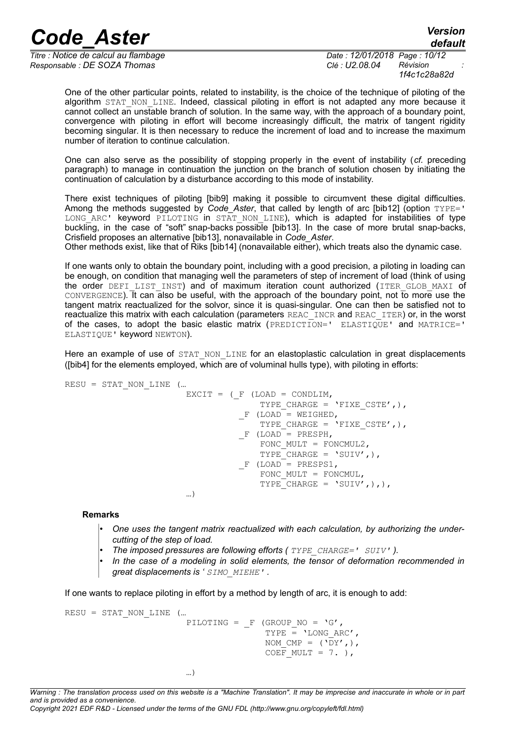*Titre : Notice de calcul au flambage Date : 12/01/2018 Page : 10/12 Responsable : DE SOZA Thomas Clé : U2.08.04 Révision :*

*default*

*1f4c1c28a82d*

One of the other particular points, related to instability, is the choice of the technique of piloting of the algorithm STAT\_NON\_LINE. Indeed, classical piloting in effort is not adapted any more because it cannot collect an unstable branch of solution. In the same way, with the approach of a boundary point, convergence with piloting in effort will become increasingly difficult, the matrix of tangent rigidity becoming singular. It is then necessary to reduce the increment of load and to increase the maximum number of iteration to continue calculation.

One can also serve as the possibility of stopping properly in the event of instability (*cf.* preceding paragraph) to manage in continuation the junction on the branch of solution chosen by initiating the continuation of calculation by a disturbance according to this mode of instability.

There exist techniques of piloting [bib9] making it possible to circumvent these digital difficulties. Among the methods suggested by *Code\_Aster*, that called by length of arc [bib12] (option TYPE=' LONG ARC' keyword PILOTING in STAT NON LINE), which is adapted for instabilities of type buckling, in the case of "soft" snap-backs possible [bib13]. In the case of more brutal snap-backs, Crisfield proposes an alternative [bib13], nonavailable in *Code\_Aster*.

Other methods exist, like that of Riks [bib14] (nonavailable either), which treats also the dynamic case.

If one wants only to obtain the boundary point, including with a good precision, a piloting in loading can be enough, on condition that managing well the parameters of step of increment of load (think of using the order DEFILIST INST) and of maximum iteration count authorized (ITER GLOB MAXI of CONVERGENCE). It can also be useful, with the approach of the boundary point, not to more use the tangent matrix reactualized for the solvor, since it is quasi-singular. One can then be satisfied not to reactualize this matrix with each calculation (parameters REAC\_INCR and REAC\_ITER) or, in the worst of the cases, to adopt the basic elastic matrix (PREDICTION=' ELASTIQUE' and MATRICE=' ELASTIQUE' keyword NEWTON).

Here an example of use of STAT NON LINE for an elastoplastic calculation in great displacements ([bib4] for the elements employed, which are of voluminal hulls type), with piloting in efforts:

```
RESU = STAT NON LINE (...
                       EXCIT = (F (LOAD = CONDLIM,TYPE CHARGE = 'FIXE CSTE',),
                                 F (LOAD = WEIGHED,
                                     TYPE CHARGE = 'FIXE CSTE',),
                                 F (LOAD = PRESPH,
                                     FONC MULT = FONCMUL2,
                                     TYPE_CHARGE = 'SUIV', ),
                                 F (LOAD<sup>-</sup> PRESPS1,
                                     FONC MULT = FONCMUL,
                                     TYPE CHARGE = \text{'SUIV}', \text{)}, …)
```
**Remarks**

- *One uses the tangent matrix reactualized with each calculation, by authorizing the undercutting of the step of load.*
- *The imposed pressures are following efforts ( TYPE\_CHARGE=' SUIV' ).*
- *In the case of a modeling in solid elements, the tensor of deformation recommended in great displacements is ' SIMO\_MIEHE' .*

If one wants to replace piloting in effort by a method by length of arc, it is enough to add:

```
RESU = STAT NON LINE (...
                     PILOTING = F (GROUP NO = 'G',
                                   TYPE = 'LONG ARC',
                                   NOM CMP = (\overline{D}Y',),COEF MULT = 7. ),
 …)
```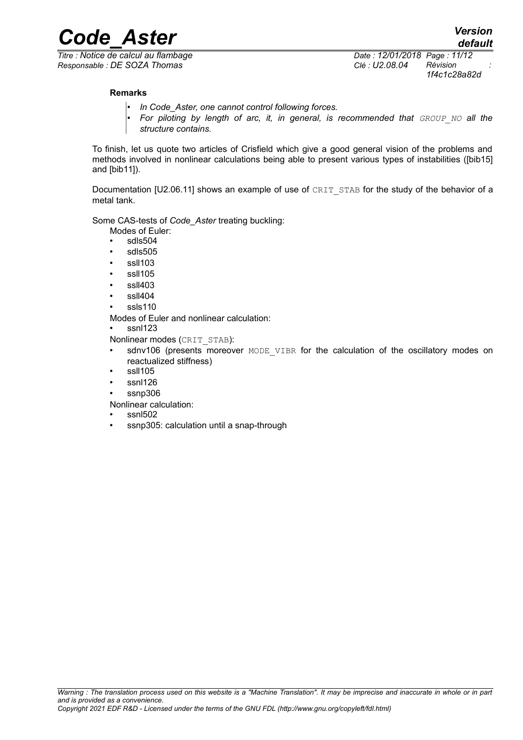*Titre : Notice de calcul au flambage Date : 12/01/2018 Page : 11/12 Responsable : DE SOZA Thomas Clé : U2.08.04 Révision :*

*1f4c1c28a82d*

### **Remarks**

- *In Code\_Aster, one cannot control following forces.*
- *For piloting by length of arc, it, in general, is recommended that GROUP\_NO all the structure contains.*

To finish, let us quote two articles of Crisfield which give a good general vision of the problems and methods involved in nonlinear calculations being able to present various types of instabilities ([bib15] and [bib11]).

Documentation [U2.06.11] shows an example of use of CRIT\_STAB for the study of the behavior of a metal tank.

Some CAS-tests of *Code\_Aster* treating buckling:

- Modes of Euler:
- sdls504
- sdls505
- ssll103
- ssll105
- ssll403
- $\cdot$  ssll404
- ssls110

Modes of Euler and nonlinear calculation:

ssnl123

Nonlinear modes (CRIT\_STAB):

- sdnv106 (presents moreover MODE VIBR for the calculation of the oscillatory modes on reactualized stiffness)
- ssll105
- ssnl126
- ssnp306

Nonlinear calculation:

- ssnl502
- ssnp305: calculation until a snap-through